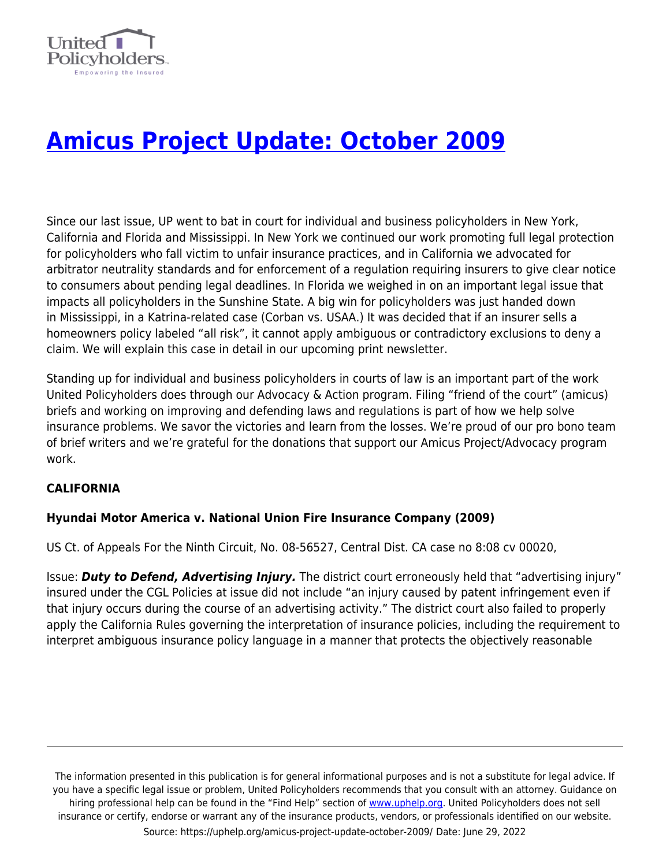

# **[Amicus Project Update: October 2009](https://uphelp.org/amicus-project-update-october-2009/)**

Since our last issue, UP went to bat in court for individual and business policyholders in New York, California and Florida and Mississippi. In New York we continued our work promoting full legal protection for policyholders who fall victim to unfair insurance practices, and in California we advocated for arbitrator neutrality standards and for enforcement of a regulation requiring insurers to give clear notice to consumers about pending legal deadlines. In Florida we weighed in on an important legal issue that impacts all policyholders in the Sunshine State. A big win for policyholders was just handed down in Mississippi, in a Katrina-related case (Corban vs. USAA.) It was decided that if an insurer sells a homeowners policy labeled "all risk", it cannot apply ambiguous or contradictory exclusions to deny a claim. We will explain this case in detail in our upcoming print newsletter.

Standing up for individual and business policyholders in courts of law is an important part of the work United Policyholders does through our Advocacy & Action program. Filing "friend of the court" (amicus) briefs and working on improving and defending laws and regulations is part of how we help solve insurance problems. We savor the victories and learn from the losses. We're proud of our pro bono team of brief writers and we're grateful for the donations that support our Amicus Project/Advocacy program work.

# **CALIFORNIA**

# **Hyundai Motor America v. National Union Fire Insurance Company (2009)**

US Ct. of Appeals For the Ninth Circuit, No. 08-56527, Central Dist. CA case no 8:08 cv 00020,

Issue: *Duty to Defend, Advertising Injury.* The district court erroneously held that "advertising injury" insured under the CGL Policies at issue did not include "an injury caused by patent infringement even if that injury occurs during the course of an advertising activity." The district court also failed to properly apply the California Rules governing the interpretation of insurance policies, including the requirement to interpret ambiguous insurance policy language in a manner that protects the objectively reasonable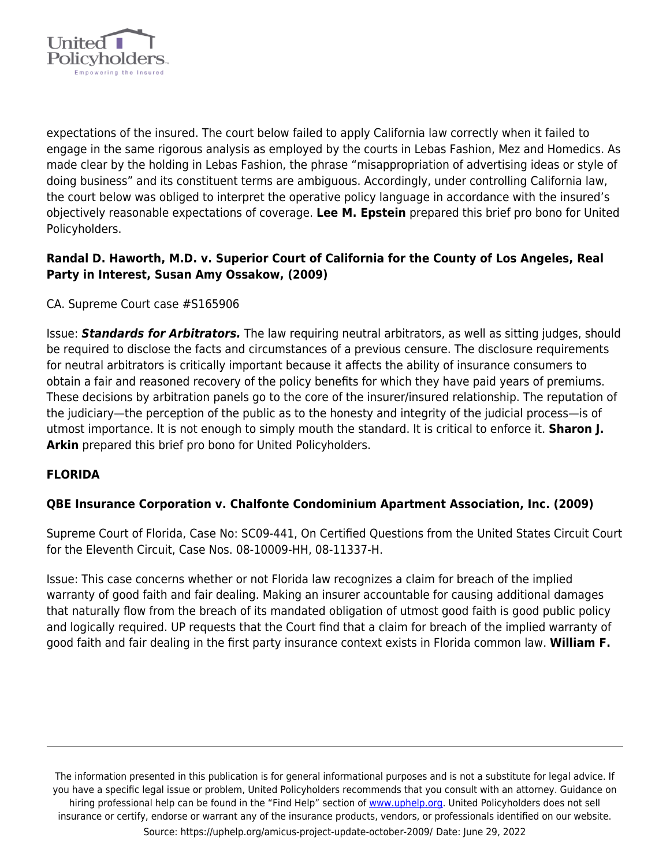

expectations of the insured. The court below failed to apply California law correctly when it failed to engage in the same rigorous analysis as employed by the courts in Lebas Fashion, Mez and Homedics. As made clear by the holding in Lebas Fashion, the phrase "misappropriation of advertising ideas or style of doing business" and its constituent terms are ambiguous. Accordingly, under controlling California law, the court below was obliged to interpret the operative policy language in accordance with the insured's objectively reasonable expectations of coverage. **Lee M. Epstein** prepared this brief pro bono for United Policyholders.

## **Randal D. Haworth, M.D. v. Superior Court of California for the County of Los Angeles, Real Party in Interest, Susan Amy Ossakow, (2009)**

CA. Supreme Court case #S165906

Issue: *Standards for Arbitrators.* The law requiring neutral arbitrators, as well as sitting judges, should be required to disclose the facts and circumstances of a previous censure. The disclosure requirements for neutral arbitrators is critically important because it affects the ability of insurance consumers to obtain a fair and reasoned recovery of the policy benefits for which they have paid years of premiums. These decisions by arbitration panels go to the core of the insurer/insured relationship. The reputation of the judiciary—the perception of the public as to the honesty and integrity of the judicial process—is of utmost importance. It is not enough to simply mouth the standard. It is critical to enforce it. **Sharon J. Arkin** prepared this brief pro bono for United Policyholders.

#### **FLORIDA**

#### **QBE Insurance Corporation v. Chalfonte Condominium Apartment Association, Inc. (2009)**

Supreme Court of Florida, Case No: SC09-441, On Certified Questions from the United States Circuit Court for the Eleventh Circuit, Case Nos. 08-10009-HH, 08-11337-H.

Issue: This case concerns whether or not Florida law recognizes a claim for breach of the implied warranty of good faith and fair dealing. Making an insurer accountable for causing additional damages that naturally flow from the breach of its mandated obligation of utmost good faith is good public policy and logically required. UP requests that the Court find that a claim for breach of the implied warranty of good faith and fair dealing in the first party insurance context exists in Florida common law. **William F.**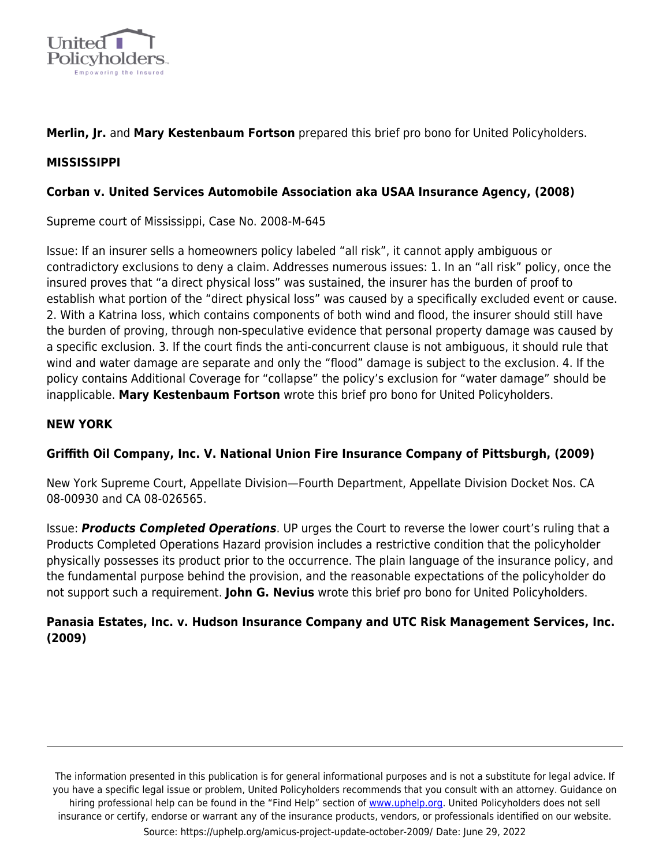

**Merlin, Jr.** and **Mary Kestenbaum Fortson** prepared this brief pro bono for United Policyholders.

### **MISSISSIPPI**

### **Corban v. United Services Automobile Association aka USAA Insurance Agency, (2008)**

Supreme court of Mississippi, Case No. 2008-M-645

Issue: If an insurer sells a homeowners policy labeled "all risk", it cannot apply ambiguous or contradictory exclusions to deny a claim. Addresses numerous issues: 1. In an "all risk" policy, once the insured proves that "a direct physical loss" was sustained, the insurer has the burden of proof to establish what portion of the "direct physical loss" was caused by a specifically excluded event or cause. 2. With a Katrina loss, which contains components of both wind and flood, the insurer should still have the burden of proving, through non-speculative evidence that personal property damage was caused by a specific exclusion. 3. If the court finds the anti-concurrent clause is not ambiguous, it should rule that wind and water damage are separate and only the "flood" damage is subject to the exclusion. 4. If the policy contains Additional Coverage for "collapse" the policy's exclusion for "water damage" should be inapplicable. **Mary Kestenbaum Fortson** wrote this brief pro bono for United Policyholders.

#### **NEW YORK**

# **Griffith Oil Company, Inc. V. National Union Fire Insurance Company of Pittsburgh, (2009)**

New York Supreme Court, Appellate Division—Fourth Department, Appellate Division Docket Nos. CA 08-00930 and CA 08-026565.

Issue: *Products Completed Operations*. UP urges the Court to reverse the lower court's ruling that a Products Completed Operations Hazard provision includes a restrictive condition that the policyholder physically possesses its product prior to the occurrence. The plain language of the insurance policy, and the fundamental purpose behind the provision, and the reasonable expectations of the policyholder do not support such a requirement. **John G. Nevius** wrote this brief pro bono for United Policyholders.

## **Panasia Estates, Inc. v. Hudson Insurance Company and UTC Risk Management Services, Inc. (2009)**